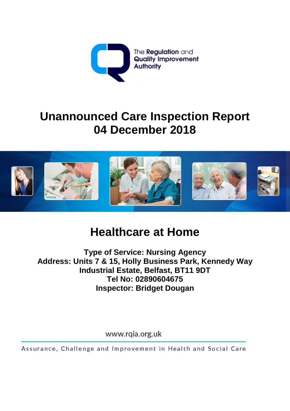

# **Unannounced Care Inspection Report 04 December 2018**



# **Healthcare at Home**

**Type of Service: Nursing Agency Address: Units 7 & 15, Holly Business Park, Kennedy Way Industrial Estate, Belfast, BT11 9DT Tel No: 02890604675 Inspector: Bridget Dougan** 

www.rqia.org.uk

Assurance, Challenge and Improvement in Health and Social Care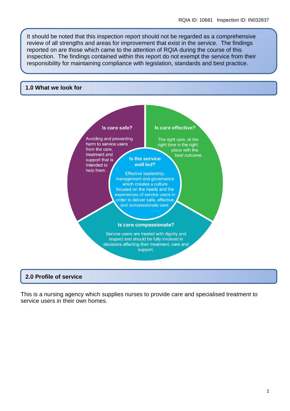It should be noted that this inspection report should not be regarded as a comprehensive review of all strengths and areas for improvement that exist in the service. The findings reported on are those which came to the attention of RQIA during the course of this inspection. The findings contained within this report do not exempt the service from their responsibility for maintaining compliance with legislation, standards and best practice.

#### **1.0 What we look for**



#### **2.0 Profile of service**

This is a nursing agency which supplies nurses to provide care and specialised treatment to service users in their own homes.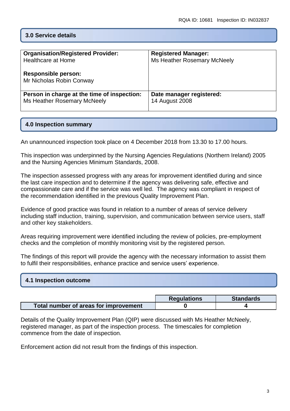# **3.0 Service details**

| <b>Organisation/Registered Provider:</b>               | <b>Registered Manager:</b>  |
|--------------------------------------------------------|-----------------------------|
| <b>Healthcare at Home</b>                              | Ms Heather Rosemary McNeely |
| <b>Responsible person:</b><br>Mr Nicholas Robin Conway |                             |
| Person in charge at the time of inspection:            | Date manager registered:    |
| Ms Heather Rosemary McNeely                            | <b>14 August 2008</b>       |

# **4.0 Inspection summary**

An unannounced inspection took place on 4 December 2018 from 13.30 to 17.00 hours.

This inspection was underpinned by the Nursing Agencies Regulations (Northern Ireland) 2005 and the Nursing Agencies Minimum Standards, 2008.

The inspection assessed progress with any areas for improvement identified during and since the last care inspection and to determine if the agency was delivering safe, effective and compassionate care and if the service was well led. The agency was compliant in respect of the recommendation identified in the previous Quality Improvement Plan.

Evidence of good practice was found in relation to a number of areas of service delivery including staff induction, training, supervision, and communication between service users, staff and other key stakeholders.

Areas requiring improvement were identified including the review of policies, pre-employment checks and the completion of monthly monitoring visit by the registered person.

The findings of this report will provide the agency with the necessary information to assist them to fulfil their responsibilities, enhance practice and service users' experience.

| 4.1 Inspection outcome |  |
|------------------------|--|
|                        |  |

|                                         | <b>Regulations</b> | <b>Standards</b> |
|-----------------------------------------|--------------------|------------------|
| ∕ Total number of areas for improvement |                    |                  |

Details of the Quality Improvement Plan (QIP) were discussed with Ms Heather McNeely, registered manager, as part of the inspection process. The timescales for completion commence from the date of inspection.

Enforcement action did not result from the findings of this inspection.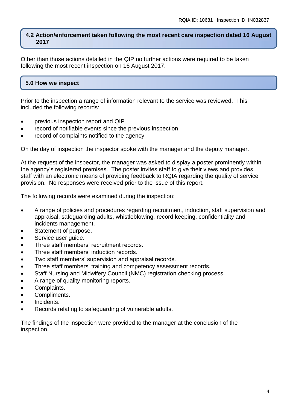## **4.2 Action/enforcement taken following the most recent care inspection dated 16 August 2017**

Other than those actions detailed in the QIP no further actions were required to be taken following the most recent inspection on 16 August 2017.

# **5.0 How we inspect**

Prior to the inspection a range of information relevant to the service was reviewed. This included the following records:

- previous inspection report and QIP
- record of notifiable events since the previous inspection
- record of complaints notified to the agency

On the day of inspection the inspector spoke with the manager and the deputy manager.

At the request of the inspector, the manager was asked to display a poster prominently within the agency's registered premises. The poster invites staff to give their views and provides staff with an electronic means of providing feedback to RQIA regarding the quality of service provision. No responses were received prior to the issue of this report.

The following records were examined during the inspection:

- A range of policies and procedures regarding recruitment, induction, staff supervision and appraisal, safeguarding adults, whistleblowing, record keeping, confidentiality and incidents management.
- Statement of purpose.
- Service user quide.
- Three staff members' recruitment records.
- Three staff members' induction records.
- Two staff members' supervision and appraisal records.
- Three staff members' training and competency assessment records.
- Staff Nursing and Midwifery Council (NMC) registration checking process.
- A range of quality monitoring reports.
- Complaints.
- Compliments.
- Incidents.
- Records relating to safeguarding of vulnerable adults.

The findings of the inspection were provided to the manager at the conclusion of the inspection.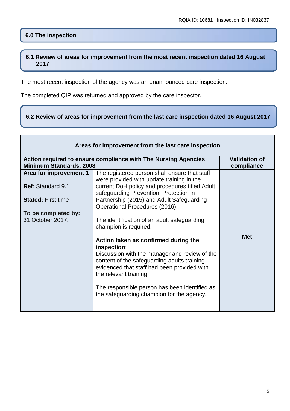# **6.0 The inspection**

# **6.1 Review of areas for improvement from the most recent inspection dated 16 August 2017**

The most recent inspection of the agency was an unannounced care inspection.

The completed QIP was returned and approved by the care inspector.

# **6.2 Review of areas for improvement from the last care inspection dated 16 August 2017**

| Areas for improvement from the last care inspection |                                                                                                                                                                                                                                                                                                                            |                                    |
|-----------------------------------------------------|----------------------------------------------------------------------------------------------------------------------------------------------------------------------------------------------------------------------------------------------------------------------------------------------------------------------------|------------------------------------|
| <b>Minimum Standards, 2008</b>                      | Action required to ensure compliance with The Nursing Agencies                                                                                                                                                                                                                                                             | <b>Validation of</b><br>compliance |
| Area for improvement 1                              | The registered person shall ensure that staff                                                                                                                                                                                                                                                                              |                                    |
| <b>Ref: Standard 9.1</b>                            | were provided with update training in the<br>current DoH policy and procedures titled Adult<br>safeguarding Prevention, Protection in                                                                                                                                                                                      |                                    |
| <b>Stated: First time</b>                           | Partnership (2015) and Adult Safeguarding<br>Operational Procedures (2016).                                                                                                                                                                                                                                                |                                    |
| To be completed by:                                 |                                                                                                                                                                                                                                                                                                                            |                                    |
| 31 October 2017.                                    | The identification of an adult safeguarding<br>champion is required.                                                                                                                                                                                                                                                       |                                    |
|                                                     | Action taken as confirmed during the<br>inspection:<br>Discussion with the manager and review of the<br>content of the safeguarding adults training<br>evidenced that staff had been provided with<br>the relevant training.<br>The responsible person has been identified as<br>the safeguarding champion for the agency. | <b>Met</b>                         |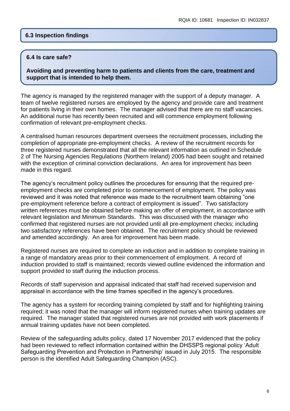### **6.3 Inspection findings**

#### **6.4 Is care safe?**

**Avoiding and preventing harm to patients and clients from the care, treatment and support that is intended to help them.**

The agency is managed by the registered manager with the support of a deputy manager. A team of twelve registered nurses are employed by the agency and provide care and treatment for patients living in their own homes. The manager advised that there are no staff vacancies. An additional nurse has recently been recruited and will commence employment following confirmation of relevant pre-employment checks.

A centralised human resources department oversees the recruitment processes, including the completion of appropriate pre-employment checks. A review of the recruitment records for three registered nurses demonstrated that all the relevant information as outlined in Schedule 2 of The Nursing Agencies Regulations (Northern Ireland) 2005 had been sought and retained with the exception of criminal conviction declarations. An area for improvement has been made in this regard.

The agency's recruitment policy outlines the procedures for ensuring that the required preemployment checks are completed prior to commencement of employment. The policy was reviewed and it was noted that reference was made to the recruitment team obtaining "one pre-employment reference before a contract of employment is issued". Two satisfactory written references must be obtained before making an offer of employment, in accordance with relevant legislation and Minimum Standards. This was discussed with the manager who confirmed that registered nurses are not provided until all pre-employment checks; including two satisfactory references have been obtained. The recruitment policy should be reviewed and amended accordingly. An area for improvement has been made.

Registered nurses are required to complete an induction and in addition to complete training in a range of mandatory areas prior to their commencement of employment. A record of induction provided to staff is maintained; records viewed outline evidenced the information and support provided to staff during the induction process.

Records of staff supervision and appraisal indicated that staff had received supervision and appraisal in accordance with the time frames specified in the agency's procedures.

The agency has a system for recording training completed by staff and for highlighting training required; it was noted that the manager will inform registered nurses when training updates are required. The manager stated that registered nurses are not provided with work placements if annual training updates have not been completed.

Review of the safeguarding adults policy, dated 17 November 2017 evidenced that the policy had been reviewed to reflect information contained within the DHSSPS regional policy 'Adult Safeguarding Prevention and Protection in Partnership' issued in July 2015. The responsible person is the identified Adult Safeguarding Champion (ASC).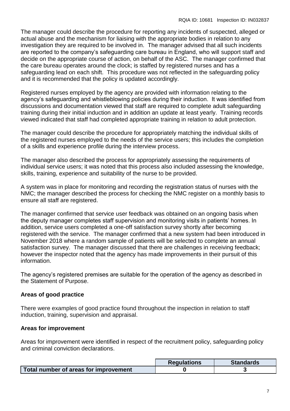The manager could describe the procedure for reporting any incidents of suspected, alleged or actual abuse and the mechanism for liaising with the appropriate bodies in relation to any investigation they are required to be involved in. The manager advised that all such incidents are reported to the company's safeguarding care bureau in England, who will support staff and decide on the appropriate course of action, on behalf of the ASC. The manager confirmed that the care bureau operates around the clock; is staffed by registered nurses and has a safeguarding lead on each shift. This procedure was not reflected in the safeguarding policy and it is recommended that the policy is updated accordingly.

Registered nurses employed by the agency are provided with information relating to the agency's safeguarding and whistleblowing policies during their induction. It was identified from discussions and documentation viewed that staff are required to complete adult safeguarding training during their initial induction and in addition an update at least yearly. Training records viewed indicated that staff had completed appropriate training in relation to adult protection.

The manager could describe the procedure for appropriately matching the individual skills of the registered nurses employed to the needs of the service users; this includes the completion of a skills and experience profile during the interview process.

The manager also described the process for appropriately assessing the requirements of individual service users; it was noted that this process also included assessing the knowledge, skills, training, experience and suitability of the nurse to be provided.

A system was in place for monitoring and recording the registration status of nurses with the NMC; the manager described the process for checking the NMC register on a monthly basis to ensure all staff are registered.

The manager confirmed that service user feedback was obtained on an ongoing basis when the deputy manager completes staff supervision and monitoring visits in patients' homes. In addition, service users completed a one-off satisfaction survey shortly after becoming registered with the service. The manager confirmed that a new system had been introduced in November 2018 where a random sample of patients will be selected to complete an annual satisfaction survey. The manager discussed that there are challenges in receiving feedback; however the inspector noted that the agency has made improvements in their pursuit of this information.

The agency's registered premises are suitable for the operation of the agency as described in the Statement of Purpose.

# **Areas of good practice**

There were examples of good practice found throughout the inspection in relation to staff induction, training, supervision and appraisal.

# **Areas for improvement**

Areas for improvement were identified in respect of the recruitment policy, safeguarding policy and criminal conviction declarations.

|                                       | <b>Regulations</b> | <b>Standards</b> |
|---------------------------------------|--------------------|------------------|
| Total number of areas for improvement |                    |                  |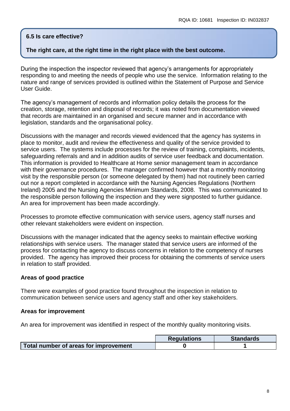# **6.5 Is care effective?**

# **The right care, at the right time in the right place with the best outcome.**

During the inspection the inspector reviewed that agency's arrangements for appropriately responding to and meeting the needs of people who use the service. Information relating to the nature and range of services provided is outlined within the Statement of Purpose and Service User Guide.

The agency's management of records and information policy details the process for the creation, storage, retention and disposal of records; it was noted from documentation viewed that records are maintained in an organised and secure manner and in accordance with legislation, standards and the organisational policy.

Discussions with the manager and records viewed evidenced that the agency has systems in place to monitor, audit and review the effectiveness and quality of the service provided to service users. The systems include processes for the review of training, complaints, incidents, safeguarding referrals and and in addition audits of service user feedback and documentation. This information is provided to Healthcare at Home senior management team in accordance with their governance procedures. The manager confirmed however that a monthly monitoring visit by the responsible person (or someone delegated by them) had not routinely been carried out nor a report completed in accordance with the Nursing Agencies Regulations (Northern Ireland) 2005 and the Nursing Agencies Minimum Standards, 2008. This was communicated to the responsible person following the inspection and they were signposted to further guidance. An area for improvement has been made accordingly.

Processes to promote effective communication with service users, agency staff nurses and other relevant stakeholders were evident on inspection.

Discussions with the manager indicated that the agency seeks to maintain effective working relationships with service users. The manager stated that service users are informed of the process for contacting the agency to discuss concerns in relation to the competency of nurses provided. The agency has improved their process for obtaining the comments of service users in relation to staff provided.

#### **Areas of good practice**

There were examples of good practice found throughout the inspection in relation to communication between service users and agency staff and other key stakeholders.

#### **Areas for improvement**

An area for improvement was identified in respect of the monthly quality monitoring visits.

|                                       | <b>Requlations</b> | <b>Standards</b> |
|---------------------------------------|--------------------|------------------|
| Total number of areas for improvement |                    |                  |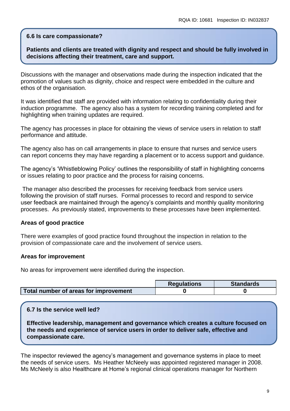### **6.6 Is care compassionate?**

# **Patients and clients are treated with dignity and respect and should be fully involved in decisions affecting their treatment, care and support.**

Discussions with the manager and observations made during the inspection indicated that the promotion of values such as dignity, choice and respect were embedded in the culture and ethos of the organisation.

It was identified that staff are provided with information relating to confidentiality during their induction programme. The agency also has a system for recording training completed and for highlighting when training updates are required.

The agency has processes in place for obtaining the views of service users in relation to staff performance and attitude.

The agency also has on call arrangements in place to ensure that nurses and service users can report concerns they may have regarding a placement or to access support and guidance.

The agency's 'Whistleblowing Policy' outlines the responsibility of staff in highlighting concerns or issues relating to poor practice and the process for raising concerns.

The manager also described the processes for receiving feedback from service users following the provision of staff nurses. Formal processes to record and respond to service user feedback are maintained through the agency's complaints and monthly quality monitoring processes. As previously stated, improvements to these processes have been implemented.

#### **Areas of good practice**

There were examples of good practice found throughout the inspection in relation to the provision of compassionate care and the involvement of service users.

#### **Areas for improvement**

No areas for improvement were identified during the inspection.

|                                       | <b>Requlations</b> | <b>Standards</b> |
|---------------------------------------|--------------------|------------------|
| Total number of areas for improvement |                    |                  |

#### **6.7 Is the service well led?**

**Effective leadership, management and governance which creates a culture focused on the needs and experience of service users in order to deliver safe, effective and compassionate care.**

The inspector reviewed the agency's management and governance systems in place to meet the needs of service users. Ms Heather McNeely was appointed registered manager in 2008. Ms McNeely is also Healthcare at Home's regional clinical operations manager for Northern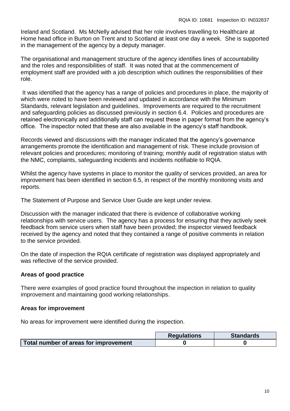Ireland and Scotland. Ms McNelly advised that her role involves travelling to Healthcare at Home head office in Burton on Trent and to Scotland at least one day a week. She is supported in the management of the agency by a deputy manager.

The organisational and management structure of the agency identifies lines of accountability and the roles and responsibilities of staff. It was noted that at the commencement of employment staff are provided with a job description which outlines the responsibilities of their role.

It was identified that the agency has a range of policies and procedures in place, the majority of which were noted to have been reviewed and updated in accordance with the Minimum Standards, relevant legislation and guidelines. Improvements are required to the recruitment and safeguarding policies as discussed previously in section 6.4. Policies and procedures are retained electronically and additionally staff can request these in paper format from the agency's office. The inspector noted that these are also available in the agency's staff handbook.

Records viewed and discussions with the manager indicated that the agency's governance arrangements promote the identification and management of risk. These include provision of relevant policies and procedures; monitoring of training; monthly audit of registration status with the NMC, complaints, safeguarding incidents and incidents notifiable to RQIA.

Whilst the agency have systems in place to monitor the quality of services provided, an area for improvement has been identified in section 6.5, in respect of the monthly monitoring visits and reports.

The Statement of Purpose and Service User Guide are kept under review.

Discussion with the manager indicated that there is evidence of collaborative working relationships with service users. The agency has a process for ensuring that they actively seek feedback from service users when staff have been provided; the inspector viewed feedback received by the agency and noted that they contained a range of positive comments in relation to the service provided.

On the date of inspection the RQIA certificate of registration was displayed appropriately and was reflective of the service provided.

# **Areas of good practice**

There were examples of good practice found throughout the inspection in relation to quality improvement and maintaining good working relationships.

# **Areas for improvement**

No areas for improvement were identified during the inspection.

|                                       | <b>Requlations</b> | <b>Standards</b> |
|---------------------------------------|--------------------|------------------|
| Total number of areas for improvement |                    |                  |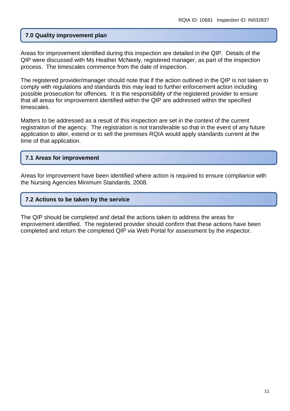# **7.0 Quality improvement plan**

Areas for improvement identified during this inspection are detailed in the QIP. Details of the QIP were discussed with Ms Heather McNeely, registered manager, as part of the inspection process. The timescales commence from the date of inspection.

The registered provider/manager should note that if the action outlined in the QIP is not taken to comply with regulations and standards this may lead to further enforcement action including possible prosecution for offences. It is the responsibility of the registered provider to ensure that all areas for improvement identified within the QIP are addressed within the specified timescales.

Matters to be addressed as a result of this inspection are set in the context of the current registration of the agency. The registration is not transferable so that in the event of any future application to alter, extend or to sell the premises RQIA would apply standards current at the time of that application.

# **7.1 Areas for improvement**

Areas for improvement have been identified where action is required to ensure compliance with the Nursing Agencies Minimum Standards, 2008.

#### **7.2 Actions to be taken by the service**

The QIP should be completed and detail the actions taken to address the areas for improvement identified. The registered provider should confirm that these actions have been completed and return the completed QIP via Web Portal for assessment by the inspector.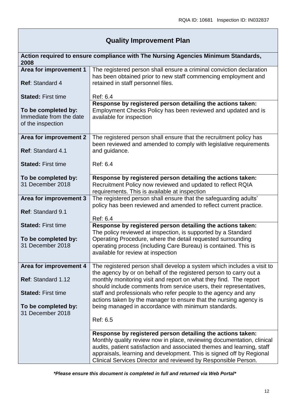# **Quality Improvement Plan**

| 2008                      | Action required to ensure compliance with The Nursing Agencies Minimum Standards,                                                            |
|---------------------------|----------------------------------------------------------------------------------------------------------------------------------------------|
| Area for improvement 1    | The registered person shall ensure a criminal conviction declaration<br>has been obtained prior to new staff commencing employment and       |
| Ref: Standard 4           | retained in staff personnel files.                                                                                                           |
| <b>Stated: First time</b> | Ref: 6.4                                                                                                                                     |
| To be completed by:       | Response by registered person detailing the actions taken:<br>Employment Checks Policy has been reviewed and updated and is                  |
| Immediate from the date   | available for inspection                                                                                                                     |
| of the inspection         |                                                                                                                                              |
| Area for improvement 2    | The registered person shall ensure that the recruitment policy has                                                                           |
| Ref: Standard 4.1         | been reviewed and amended to comply with legislative requirements<br>and guidance.                                                           |
|                           |                                                                                                                                              |
| <b>Stated: First time</b> | Ref: 6.4                                                                                                                                     |
| To be completed by:       | Response by registered person detailing the actions taken:                                                                                   |
| 31 December 2018          | Recruitment Policy now reviewed and updated to reflect RQIA                                                                                  |
| Area for improvement 3    | requirements. This is available at inspection<br>The registered person shall ensure that the safeguarding adults'                            |
|                           | policy has been reviewed and amended to reflect current practice.                                                                            |
| Ref: Standard 9.1         |                                                                                                                                              |
|                           | Ref: 6.4                                                                                                                                     |
| <b>Stated: First time</b> | Response by registered person detailing the actions taken:<br>The policy reviewed at inspection, is supported by a Standard                  |
| To be completed by:       | Operating Procedure, where the detail requested surrounding                                                                                  |
| 31 December 2018          | operating process (including Care Bureau) is contained. This is                                                                              |
|                           | available for review at inspection                                                                                                           |
|                           |                                                                                                                                              |
| Area for improvement 4    | The registered person shall develop a system which includes a visit to<br>the agency by or on behalf of the registered person to carry out a |
| Ref: Standard 1.12        | monthly monitoring visit and report on what they find. The report<br>should include comments from service users, their representatives,      |
| <b>Stated: First time</b> | staff and professionals who refer people to the agency and any<br>actions taken by the manager to ensure that the nursing agency is          |
| To be completed by:       | being managed in accordance with minimum standards.                                                                                          |
| 31 December 2018          |                                                                                                                                              |
|                           | Ref: 6.5                                                                                                                                     |
|                           | Response by registered person detailing the actions taken:                                                                                   |
|                           | Monthly quality review now in place, reviewing documentation, clinical                                                                       |
|                           | audits, patient satisfaction and associated themes and learning, staff                                                                       |
|                           | appraisals, learning and development. This is signed off by Regional                                                                         |
|                           | Clinical Services Director and reviewed by Responsible Person.                                                                               |

*\*Please ensure this document is completed in full and returned via Web Portal\**